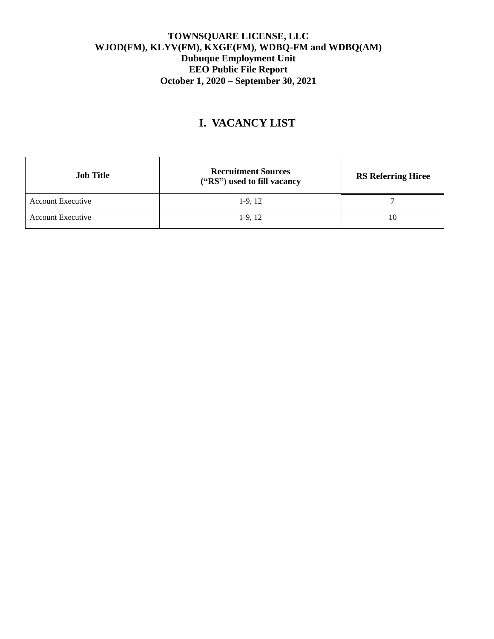# **I. VACANCY LIST**

| <b>Job Title</b>         | <b>Recruitment Sources</b><br>("RS") used to fill vacancy | <b>RS Referring Hiree</b> |
|--------------------------|-----------------------------------------------------------|---------------------------|
| <b>Account Executive</b> | $1-9, 12$                                                 |                           |
| <b>Account Executive</b> | $1-9, 12$                                                 | 10                        |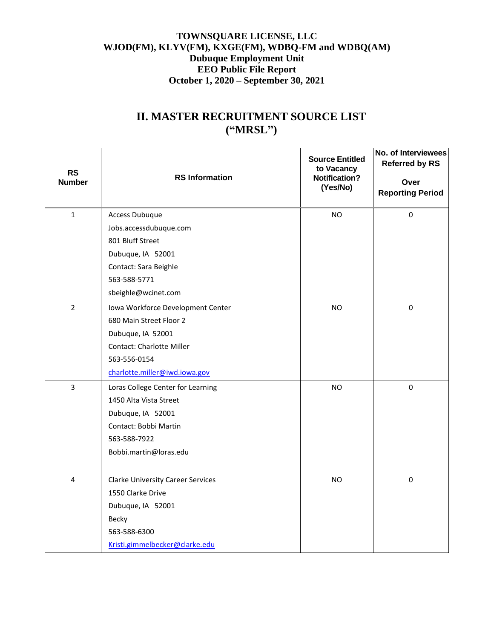# **II. MASTER RECRUITMENT SOURCE LIST ("MRSL")**

| <b>RS</b><br><b>Number</b> | <b>RS</b> Information                    | <b>Source Entitled</b><br>to Vacancy<br><b>Notification?</b><br>(Yes/No) | No. of Interviewees<br><b>Referred by RS</b><br>Over<br><b>Reporting Period</b> |
|----------------------------|------------------------------------------|--------------------------------------------------------------------------|---------------------------------------------------------------------------------|
| $\mathbf{1}$               | <b>Access Dubuque</b>                    | <b>NO</b>                                                                | $\pmb{0}$                                                                       |
|                            | Jobs.accessdubuque.com                   |                                                                          |                                                                                 |
|                            | 801 Bluff Street                         |                                                                          |                                                                                 |
|                            | Dubuque, IA 52001                        |                                                                          |                                                                                 |
|                            | Contact: Sara Beighle                    |                                                                          |                                                                                 |
|                            | 563-588-5771                             |                                                                          |                                                                                 |
|                            | sbeighle@wcinet.com                      |                                                                          |                                                                                 |
| $\overline{2}$             | Iowa Workforce Development Center        | <b>NO</b>                                                                | 0                                                                               |
|                            | 680 Main Street Floor 2                  |                                                                          |                                                                                 |
|                            | Dubuque, IA 52001                        |                                                                          |                                                                                 |
|                            | <b>Contact: Charlotte Miller</b>         |                                                                          |                                                                                 |
|                            | 563-556-0154                             |                                                                          |                                                                                 |
|                            | charlotte.miller@iwd.iowa.gov            |                                                                          |                                                                                 |
| $\overline{3}$             | Loras College Center for Learning        | <b>NO</b>                                                                | $\pmb{0}$                                                                       |
|                            | 1450 Alta Vista Street                   |                                                                          |                                                                                 |
|                            | Dubuque, IA 52001                        |                                                                          |                                                                                 |
|                            | Contact: Bobbi Martin                    |                                                                          |                                                                                 |
|                            | 563-588-7922                             |                                                                          |                                                                                 |
|                            | Bobbi.martin@loras.edu                   |                                                                          |                                                                                 |
|                            |                                          |                                                                          |                                                                                 |
| $\overline{4}$             | <b>Clarke University Career Services</b> | <b>NO</b>                                                                | $\mathbf 0$                                                                     |
|                            | 1550 Clarke Drive                        |                                                                          |                                                                                 |
|                            | Dubuque, IA 52001                        |                                                                          |                                                                                 |
|                            | Becky                                    |                                                                          |                                                                                 |
|                            | 563-588-6300                             |                                                                          |                                                                                 |
|                            | Kristi.gimmelbecker@clarke.edu           |                                                                          |                                                                                 |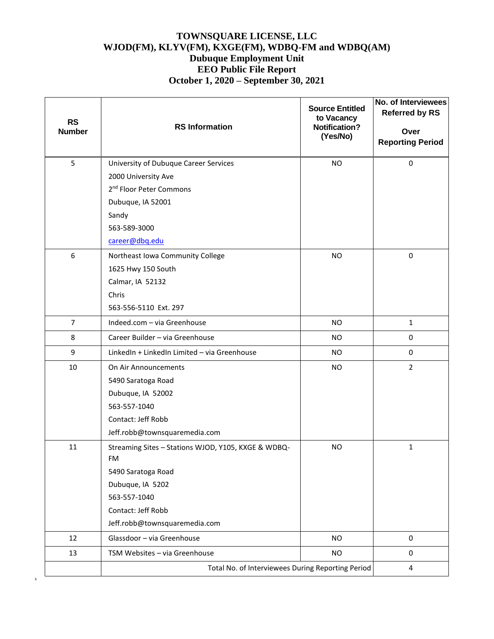| <b>RS</b><br><b>Number</b> | <b>RS</b> Information                                     | <b>Source Entitled</b><br>to Vacancy<br><b>Notification?</b><br>(Yes/No) | No. of Interviewees<br><b>Referred by RS</b><br>Over<br><b>Reporting Period</b> |
|----------------------------|-----------------------------------------------------------|--------------------------------------------------------------------------|---------------------------------------------------------------------------------|
| 5                          | University of Dubuque Career Services                     | <b>NO</b>                                                                | 0                                                                               |
|                            | 2000 University Ave                                       |                                                                          |                                                                                 |
|                            | 2 <sup>nd</sup> Floor Peter Commons                       |                                                                          |                                                                                 |
|                            | Dubuque, IA 52001                                         |                                                                          |                                                                                 |
|                            | Sandy                                                     |                                                                          |                                                                                 |
|                            | 563-589-3000                                              |                                                                          |                                                                                 |
|                            | career@dbq.edu                                            |                                                                          |                                                                                 |
| 6                          | Northeast Iowa Community College                          | <b>NO</b>                                                                | $\mathbf 0$                                                                     |
|                            | 1625 Hwy 150 South                                        |                                                                          |                                                                                 |
|                            | Calmar, IA 52132                                          |                                                                          |                                                                                 |
|                            | Chris                                                     |                                                                          |                                                                                 |
|                            | 563-556-5110 Ext. 297                                     |                                                                          |                                                                                 |
| $\overline{7}$             | Indeed.com - via Greenhouse                               | <b>NO</b>                                                                | $\mathbf{1}$                                                                    |
| 8                          | Career Builder - via Greenhouse                           | <b>NO</b>                                                                | 0                                                                               |
| 9                          | LinkedIn + LinkedIn Limited - via Greenhouse              | <b>NO</b>                                                                | 0                                                                               |
| 10                         | On Air Announcements                                      | <b>NO</b>                                                                | $\overline{2}$                                                                  |
|                            | 5490 Saratoga Road                                        |                                                                          |                                                                                 |
|                            | Dubuque, IA 52002                                         |                                                                          |                                                                                 |
|                            | 563-557-1040                                              |                                                                          |                                                                                 |
|                            | Contact: Jeff Robb                                        |                                                                          |                                                                                 |
|                            | Jeff.robb@townsquaremedia.com                             |                                                                          |                                                                                 |
| 11                         | Streaming Sites - Stations WJOD, Y105, KXGE & WDBQ-<br>FM | <b>NO</b>                                                                | 1                                                                               |
|                            | 5490 Saratoga Road                                        |                                                                          |                                                                                 |
|                            | Dubuque, IA 5202                                          |                                                                          |                                                                                 |
|                            | 563-557-1040                                              |                                                                          |                                                                                 |
|                            | Contact: Jeff Robb                                        |                                                                          |                                                                                 |
|                            | Jeff.robb@townsquaremedia.com                             |                                                                          |                                                                                 |
| 12                         | Glassdoor - via Greenhouse                                | <b>NO</b>                                                                | $\mathsf{O}\xspace$                                                             |
| 13                         | TSM Websites - via Greenhouse                             | <b>NO</b>                                                                | 0                                                                               |
|                            | Total No. of Interviewees During Reporting Period         |                                                                          | 4                                                                               |

s